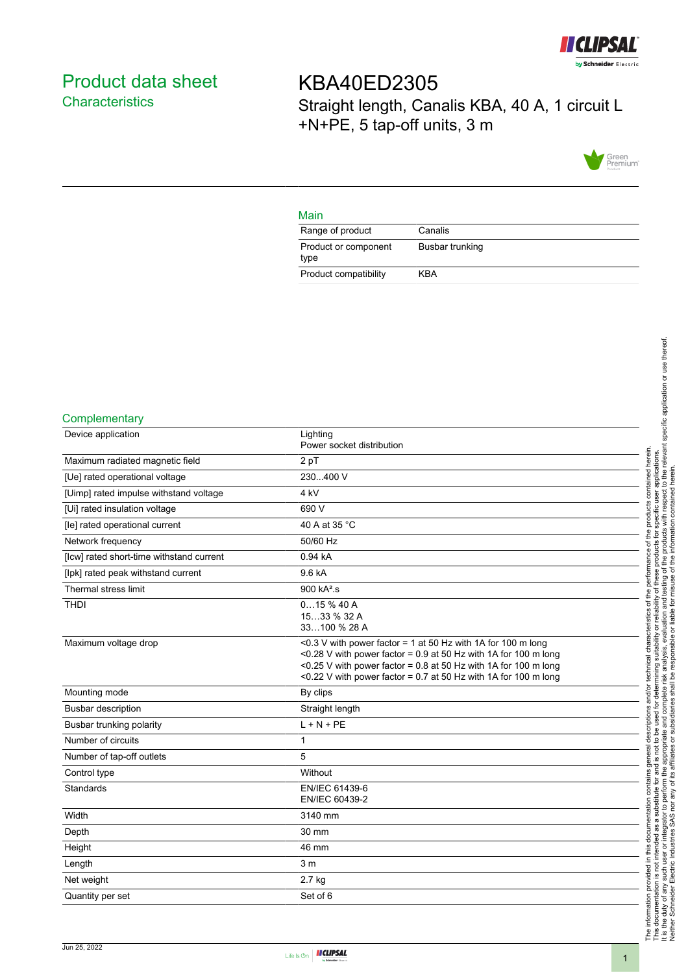

# <span id="page-0-0"></span>Product data sheet **Characteristics**

KBA40ED2305 Straight length, Canalis KBA, 40 A, 1 circuit L +N+PE, 5 tap-off units, 3 m



### Main

| Range of product             | Canalis         |
|------------------------------|-----------------|
| Product or component<br>type | Busbar trunking |
| Product compatibility        | KBA             |

#### **Complementary**

| Device application                       | Lighting<br>Power socket distribution                                                                                                                                                                                                                                     |
|------------------------------------------|---------------------------------------------------------------------------------------------------------------------------------------------------------------------------------------------------------------------------------------------------------------------------|
| Maximum radiated magnetic field          | 2 pT                                                                                                                                                                                                                                                                      |
| [Ue] rated operational voltage           | 230400 V                                                                                                                                                                                                                                                                  |
| [Uimp] rated impulse withstand voltage   | 4 <sub>kV</sub>                                                                                                                                                                                                                                                           |
| [Ui] rated insulation voltage            | 690 V                                                                                                                                                                                                                                                                     |
| [le] rated operational current           | 40 A at 35 °C                                                                                                                                                                                                                                                             |
| Network frequency                        | 50/60 Hz                                                                                                                                                                                                                                                                  |
| [lcw] rated short-time withstand current | 0.94 kA                                                                                                                                                                                                                                                                   |
| [lpk] rated peak withstand current       | 9.6 kA                                                                                                                                                                                                                                                                    |
| Thermal stress limit                     | 900 kA <sup>2</sup> .s                                                                                                                                                                                                                                                    |
| <b>THDI</b>                              | 015%40A<br>1533 % 32 A<br>33100 % 28 A                                                                                                                                                                                                                                    |
| Maximum voltage drop                     | <0.3 V with power factor = 1 at 50 Hz with 1A for 100 m long<br><0.28 V with power factor = $0.9$ at 50 Hz with 1A for 100 m long<br><0.25 V with power factor = 0.8 at 50 Hz with 1A for 100 m long<br><0.22 V with power factor = $0.7$ at 50 Hz with 1A for 100 m long |
| Mounting mode                            | By clips                                                                                                                                                                                                                                                                  |
| <b>Busbar description</b>                | Straight length                                                                                                                                                                                                                                                           |
| Busbar trunking polarity                 | $L + N + PE$                                                                                                                                                                                                                                                              |
| Number of circuits                       | 1                                                                                                                                                                                                                                                                         |
| Number of tap-off outlets                | 5                                                                                                                                                                                                                                                                         |
| Control type                             | Without                                                                                                                                                                                                                                                                   |
| Standards                                | EN/IEC 61439-6<br>EN/IEC 60439-2                                                                                                                                                                                                                                          |
| Width                                    | 3140 mm                                                                                                                                                                                                                                                                   |
| Depth                                    | 30 mm                                                                                                                                                                                                                                                                     |
| Height                                   | 46 mm                                                                                                                                                                                                                                                                     |
| Length                                   | 3 <sub>m</sub>                                                                                                                                                                                                                                                            |
| Net weight                               | 2.7 kg                                                                                                                                                                                                                                                                    |
| Quantity per set                         | Set of 6                                                                                                                                                                                                                                                                  |